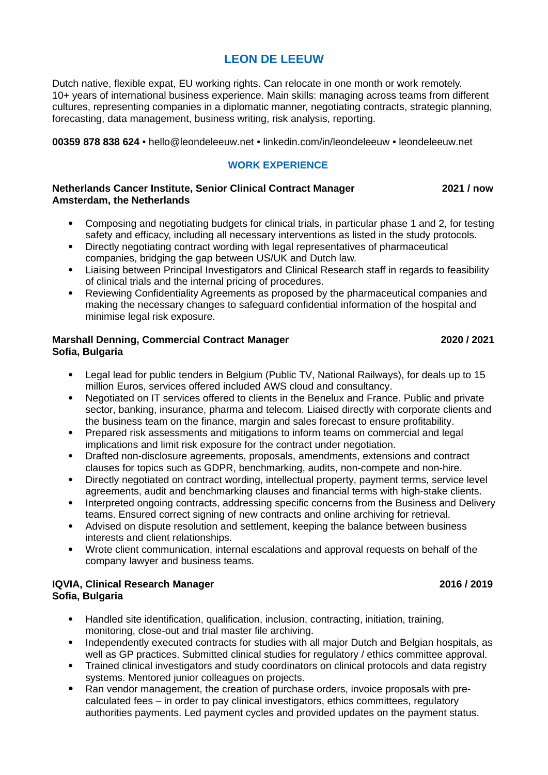# **LEON DE LEEUW**

Dutch native, flexible expat, EU working rights. Can relocate in one month or work remotely. 10+ years of international business experience. Main skills: managing across teams from different cultures, representing companies in a diplomatic manner, negotiating contracts, strategic planning, forecasting, data management, business writing, risk analysis, reporting.

**00359 878 838 624** • hello@leondeleeuw.net • linkedin.com/in/leondeleeuw • leondeleeuw.net

## **WORK EXPERIENCE**

### **Netherlands Cancer Institute, Senior Clinical Contract Manager 2021 / now Amsterdam, the Netherlands**

- Composing and negotiating budgets for clinical trials, in particular phase 1 and 2, for testing safety and efficacy, including all necessary interventions as listed in the study protocols.
- Directly negotiating contract wording with legal representatives of pharmaceutical companies, bridging the gap between US/UK and Dutch law.
- Liaising between Principal Investigators and Clinical Research staff in regards to feasibility of clinical trials and the internal pricing of procedures.
- Reviewing Confidentiality Agreements as proposed by the pharmaceutical companies and making the necessary changes to safeguard confidential information of the hospital and minimise legal risk exposure.

### **Marshall Denning, Commercial Contract Manager 2020 / 2021 Sofia, Bulgaria**

- Legal lead for public tenders in Belgium (Public TV, National Railways), for deals up to 15 million Euros, services offered included AWS cloud and consultancy.
- Negotiated on IT services offered to clients in the Benelux and France. Public and private sector, banking, insurance, pharma and telecom. Liaised directly with corporate clients and the business team on the finance, margin and sales forecast to ensure profitability.
- Prepared risk assessments and mitigations to inform teams on commercial and legal implications and limit risk exposure for the contract under negotiation.
- Drafted non-disclosure agreements, proposals, amendments, extensions and contract clauses for topics such as GDPR, benchmarking, audits, non-compete and non-hire.
- Directly negotiated on contract wording, intellectual property, payment terms, service level agreements, audit and benchmarking clauses and financial terms with high-stake clients.
- Interpreted ongoing contracts, addressing specific concerns from the Business and Delivery teams. Ensured correct signing of new contracts and online archiving for retrieval.
- Advised on dispute resolution and settlement, keeping the balance between business interests and client relationships.
- Wrote client communication, internal escalations and approval requests on behalf of the company lawyer and business teams.

## **IQVIA, Clinical Research Manager 2016 / 2019 Sofia, Bulgaria**

- Handled site identification, qualification, inclusion, contracting, initiation, training, monitoring, close-out and trial master file archiving.
- Independently executed contracts for studies with all major Dutch and Belgian hospitals, as well as GP practices. Submitted clinical studies for regulatory / ethics committee approval.
- Trained clinical investigators and study coordinators on clinical protocols and data registry systems. Mentored junior colleagues on projects.
- Ran vendor management, the creation of purchase orders, invoice proposals with precalculated fees – in order to pay clinical investigators, ethics committees, regulatory authorities payments. Led payment cycles and provided updates on the payment status.